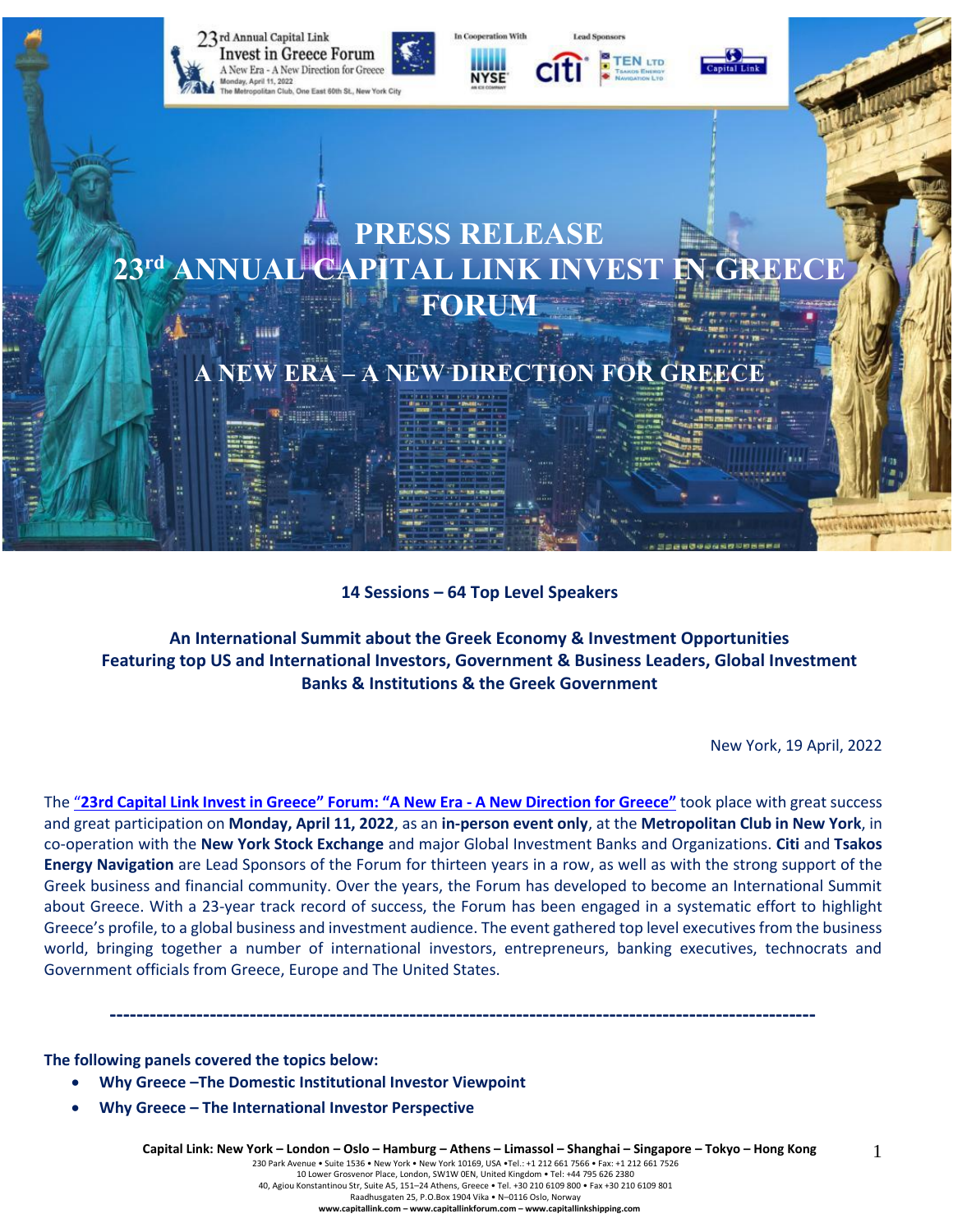

#### **14 Sessions – 64 Top Level Speakers**

**An International Summit about the Greek Economy & Investment Opportunities Featuring top US and International Investors, Government & Business Leaders, Global Investment Banks & Institutions & the Greek Government**

New York, 19 April, 2022

1

The "23rd Capital Link Invest in Greece" Forum: "A New Era - A New [Direction](https://forums.capitallink.com/greece/2021/) for Greece" took place with great success and great participation on **Monday, April 11, 2022**, as an **in-person event only**, at the **Metropolitan Club in New York**, in co-operation with the **New York Stock Exchange** and major Global Investment Banks and Organizations. **Citi** and **Tsakos Energy Navigation** are Lead Sponsors of the Forum for thirteen years in a row, as well as with the strong support of the Greek business and financial community. Over the years, the Forum has developed to become an International Summit about Greece. With a 23-year track record of success, the Forum has been engaged in a systematic effort to highlight Greece's profile, to a global business and investment audience. The event gathered top level executives from the business world, bringing together a number of international investors, entrepreneurs, banking executives, technocrats and Government officials from Greece, Europe and The United States.

**----------------------------------------------------------------------------------------------------------**

**The following panels covered the topics below:**

- **Why Greece –The Domestic Institutional Investor Viewpoint**
- **Why Greece – The International Investor Perspective**

230 Park Avenue • Suite 1536 • New York • New York 10169, USA •Tel.: +1 212 661 7566 • Fax: +1 212 661 7526 10 Lower Grosvenor Place, London, SW1W 0EN, United Kingdom • Tel: +44 795 626 2380

40, Agiou Konstantinou Str, Suite A5, 151–24 Athens, Greece • Tel. +30 210 6109 800 • Fax +30 210 6109 801 Raadhusgaten 25, P.O.Box 1904 Vika • N–0116 Oslo, Norway

**www.capitallink.com – www.capitallinkforum.com – www.capitallinkshipping.com**

Capital Link: New York - London - Oslo - Hamburg - Athens - Limassol - Shanghai - Singapore - Tokyo - Hong Kong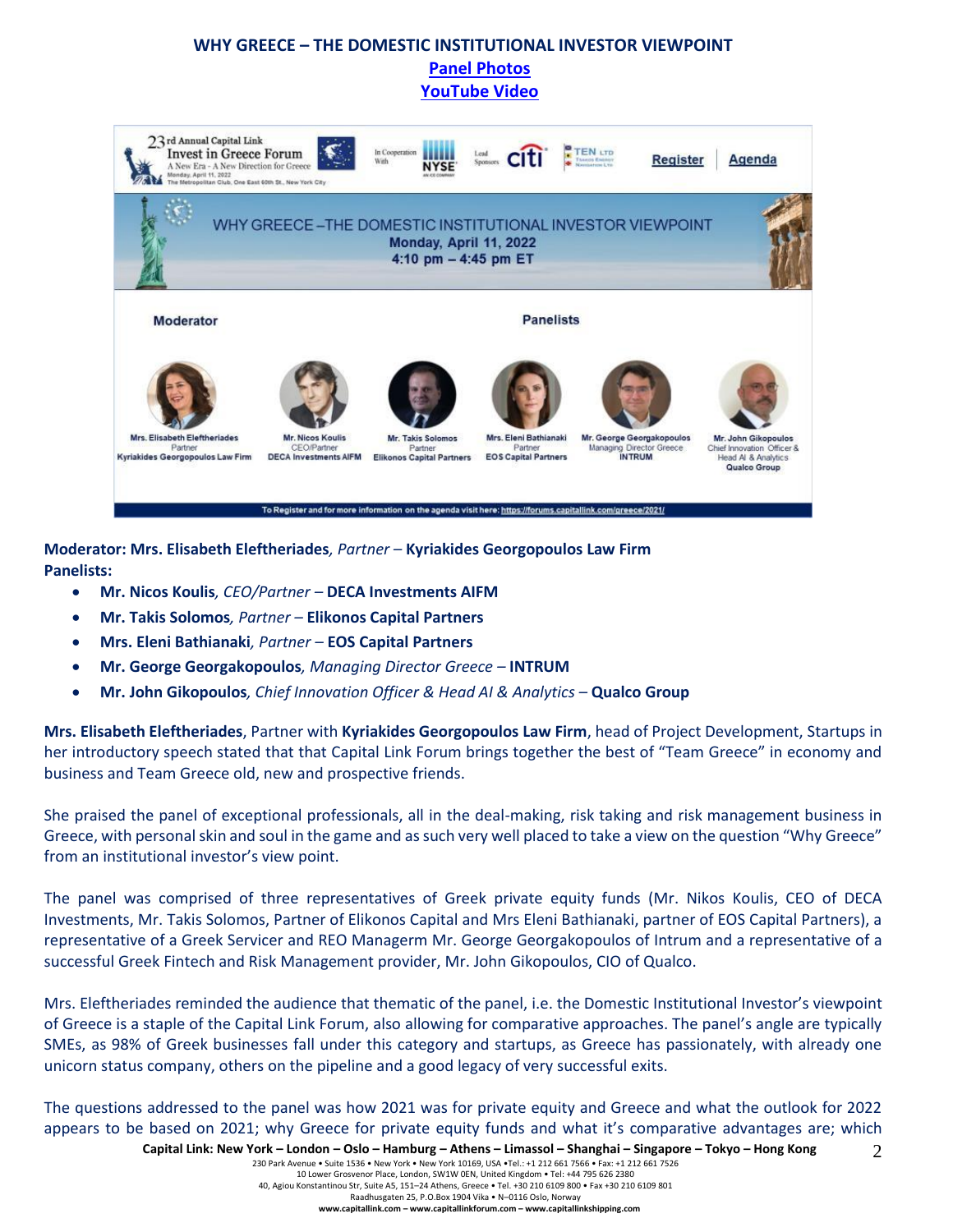# **WHY GREECE – THE DOMESTIC INSTITUTIONAL INVESTOR VIEWPOINT [Panel Photos](https://forums.capitallink.com/greece/2021/images/zip/WHY-GREECE-THE-DOMESTIC.zip)  [YouTube Video](https://youtu.be/ZUAiAt6wZPM)**



**Moderator: Mrs. Elisabeth Eleftheriades***, Partner –* **Kyriakides Georgopoulos Law Firm Panelists:**

- **Mr. Nicos Koulis***, CEO/Partner –* **DECA Investments AIFM**
- **Mr. Takis Solomos***, Partner –* **Elikonos Capital Partners**
- **Mrs. Eleni Bathianaki***, Partner –* **EOS Capital Partners**
- **Mr. George Georgakopoulos***, Managing Director Greece –* **INTRUM**
- **Mr. John Gikopoulos***, Chief Innovation Officer & Head AI & Analytics –* **Qualco Group**

**Mrs. Elisabeth Eleftheriades**, Partner with **Kyriakides Georgopoulos Law Firm**, head of Project Development, Startups in her introductory speech stated that that Capital Link Forum brings together the best of "Team Greece" in economy and business and Team Greece old, new and prospective friends.

She praised the panel of exceptional professionals, all in the deal-making, risk taking and risk management business in Greece, with personal skin and soul in the game and as such very well placed to take a view on the question "Why Greece" from an institutional investor's view point.

The panel was comprised of three representatives of Greek private equity funds (Mr. Nikos Koulis, CEO of DECA Investments, Mr. Takis Solomos, Partner of Elikonos Capital and Mrs Eleni Bathianaki, partner of EOS Capital Partners), a representative of a Greek Servicer and REO Managerm Mr. George Georgakopoulos of Intrum and a representative of a successful Greek Fintech and Risk Management provider, Mr. John Gikopoulos, CIO of Qualco.

Mrs. Eleftheriades reminded the audience that thematic of the panel, i.e. the Domestic Institutional Investor's viewpoint of Greece is a staple of the Capital Link Forum, also allowing for comparative approaches. The panel's angle are typically SMEs, as 98% of Greek businesses fall under this category and startups, as Greece has passionately, with already one unicorn status company, others on the pipeline and a good legacy of very successful exits.

 $\mathfrak{D}$ The questions addressed to the panel was how 2021 was for private equity and Greece and what the outlook for 2022 appears to be based on 2021; why Greece for private equity funds and what it's comparative advantages are; which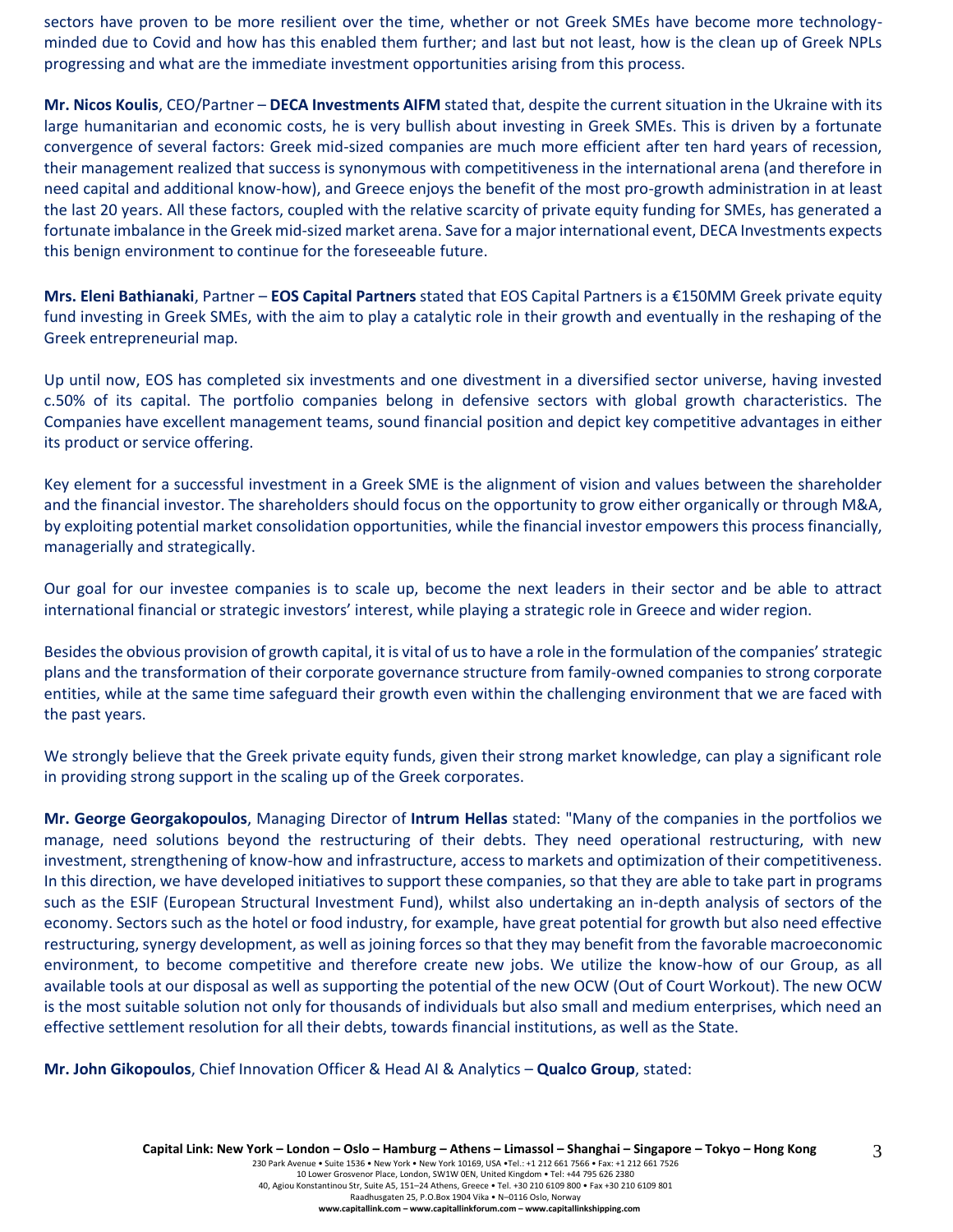sectors have proven to be more resilient over the time, whether or not Greek SMEs have become more technologyminded due to Covid and how has this enabled them further; and last but not least, how is the clean up of Greek NPLs progressing and what are the immediate investment opportunities arising from this process.

**Mr. Nicos Koulis**, CEO/Partner – **DECA Investments AIFM** stated that, despite the current situation in the Ukraine with its large humanitarian and economic costs, he is very bullish about investing in Greek SMEs. This is driven by a fortunate convergence of several factors: Greek mid-sized companies are much more efficient after ten hard years of recession, their management realized that success is synonymous with competitiveness in the international arena (and therefore in need capital and additional know-how), and Greece enjoys the benefit of the most pro-growth administration in at least the last 20 years. All these factors, coupled with the relative scarcity of private equity funding for SMEs, has generated a fortunate imbalance in the Greek mid-sized market arena. Save for a major international event, DECA Investments expects this benign environment to continue for the foreseeable future.

**Mrs. Eleni Bathianaki**, Partner – **EOS Capital Partners** stated that EOS Capital Partners is a €150MM Greek private equity fund investing in Greek SMEs, with the aim to play a catalytic role in their growth and eventually in the reshaping of the Greek entrepreneurial map.

Up until now, EOS has completed six investments and one divestment in a diversified sector universe, having invested c.50% of its capital. The portfolio companies belong in defensive sectors with global growth characteristics. The Companies have excellent management teams, sound financial position and depict key competitive advantages in either its product or service offering.

Key element for a successful investment in a Greek SME is the alignment of vision and values between the shareholder and the financial investor. The shareholders should focus on the opportunity to grow either organically or through M&A, by exploiting potential market consolidation opportunities, while the financial investor empowers this process financially, managerially and strategically.

Our goal for our investee companies is to scale up, become the next leaders in their sector and be able to attract international financial or strategic investors' interest, while playing a strategic role in Greece and wider region.

Besides the obvious provision of growth capital, it is vital of us to have a role in the formulation of the companies' strategic plans and the transformation of their corporate governance structure from family-owned companies to strong corporate entities, while at the same time safeguard their growth even within the challenging environment that we are faced with the past years.

We strongly believe that the Greek private equity funds, given their strong market knowledge, can play a significant role in providing strong support in the scaling up of the Greek corporates.

**Mr. George Georgakopoulos**, Managing Director of **Intrum Hellas** stated: "Many of the companies in the portfolios we manage, need solutions beyond the restructuring of their debts. They need operational restructuring, with new investment, strengthening of know-how and infrastructure, access to markets and optimization of their competitiveness. In this direction, we have developed initiatives to support these companies, so that they are able to take part in programs such as the ESIF (European Structural Investment Fund), whilst also undertaking an in-depth analysis of sectors of the economy. Sectors such as the hotel or food industry, for example, have great potential for growth but also need effective restructuring, synergy development, as well as joining forces so that they may benefit from the favorable macroeconomic environment, to become competitive and therefore create new jobs. We utilize the know-how of our Group, as all available tools at our disposal as well as supporting the potential of the new OCW (Out of Court Workout). The new OCW is the most suitable solution not only for thousands of individuals but also small and medium enterprises, which need an effective settlement resolution for all their debts, towards financial institutions, as well as the State.

**Mr. John Gikopoulos**, Chief Innovation Officer & Head AI & Analytics – **Qualco Group**, stated: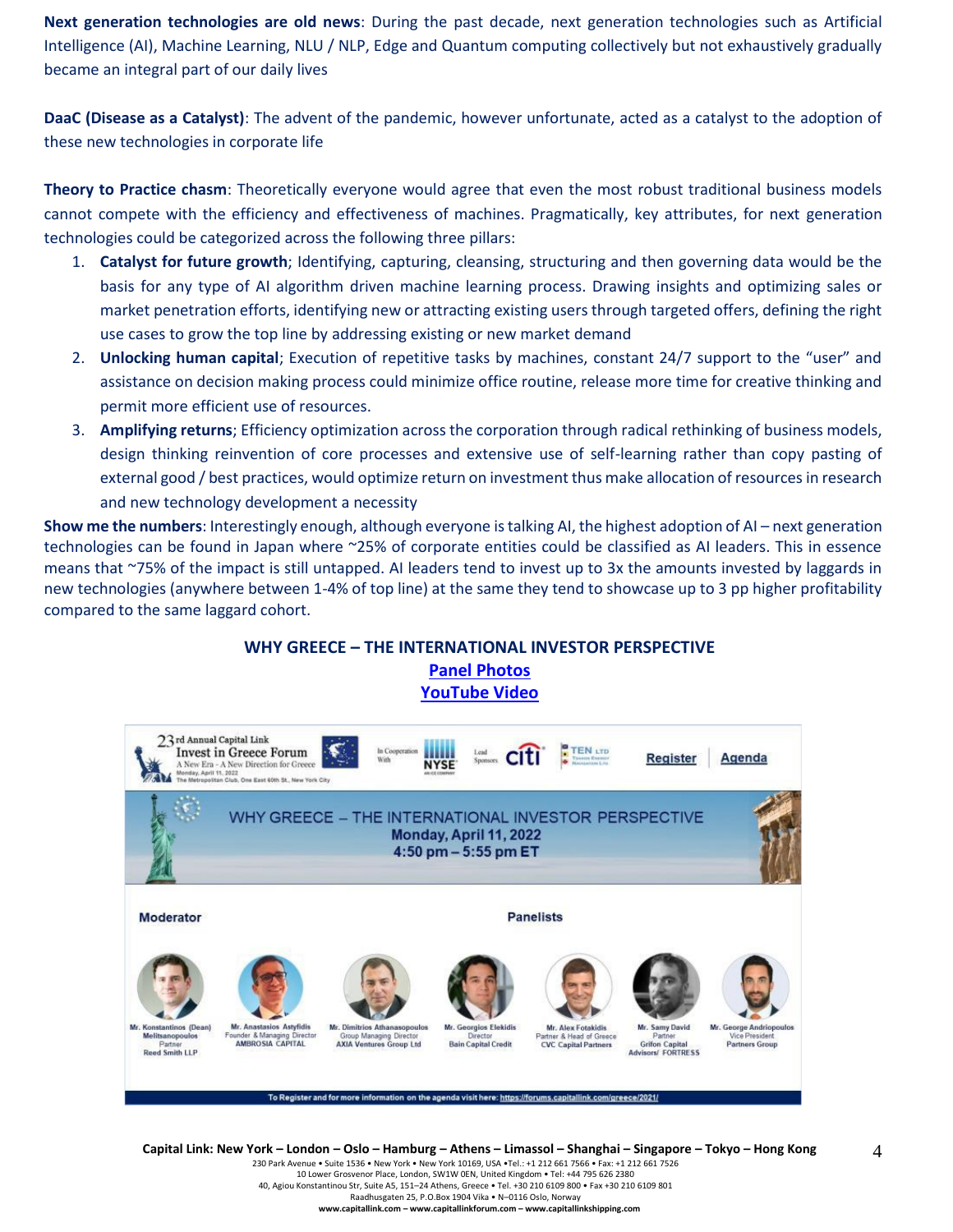**Next generation technologies are old news**: During the past decade, next generation technologies such as Artificial Intelligence (AI), Machine Learning, NLU / NLP, Edge and Quantum computing collectively but not exhaustively gradually became an integral part of our daily lives

**DaaC (Disease as a Catalyst)**: The advent of the pandemic, however unfortunate, acted as a catalyst to the adoption of these new technologies in corporate life

**Theory to Practice chasm**: Theoretically everyone would agree that even the most robust traditional business models cannot compete with the efficiency and effectiveness of machines. Pragmatically, key attributes, for next generation technologies could be categorized across the following three pillars:

- 1. **Catalyst for future growth**; Identifying, capturing, cleansing, structuring and then governing data would be the basis for any type of AI algorithm driven machine learning process. Drawing insights and optimizing sales or market penetration efforts, identifying new or attracting existing users through targeted offers, defining the right use cases to grow the top line by addressing existing or new market demand
- 2. **Unlocking human capital**; Execution of repetitive tasks by machines, constant 24/7 support to the "user" and assistance on decision making process could minimize office routine, release more time for creative thinking and permit more efficient use of resources.
- 3. **Amplifying returns**; Efficiency optimization across the corporation through radical rethinking of business models, design thinking reinvention of core processes and extensive use of self-learning rather than copy pasting of external good / best practices, would optimize return on investment thus make allocation of resources in research and new technology development a necessity

**Show me the numbers**: Interestingly enough, although everyone is talking AI, the highest adoption of AI – next generation technologies can be found in Japan where ~25% of corporate entities could be classified as AI leaders. This in essence means that ~75% of the impact is still untapped. AI leaders tend to invest up to 3x the amounts invested by laggards in new technologies (anywhere between 1-4% of top line) at the same they tend to showcase up to 3 pp higher profitability compared to the same laggard cohort.



Capital Link: New York - London - Oslo - Hamburg - Athens - Limassol - Shanghai - Singapore - Tokyo - Hong Kong

230 Park Avenue • Suite 1536 • New York • New York 10169, USA •Tel.: +1 212 661 7566 • Fax: +1 212 661 7526 10 Lower Grosvenor Place, London, SW1W 0EN, United Kingdom • Tel: +44 795 626 2380

40, Agiou Konstantinou Str, Suite A5, 151–24 Athens, Greece • Tel. +30 210 6109 800 • Fax +30 210 6109 801

Raadhusgaten 25, P.O.Box 1904 Vika • N–0116 Oslo, Norway

**www.capitallink.com – www.capitallinkforum.com – www.capitallinkshipping.com**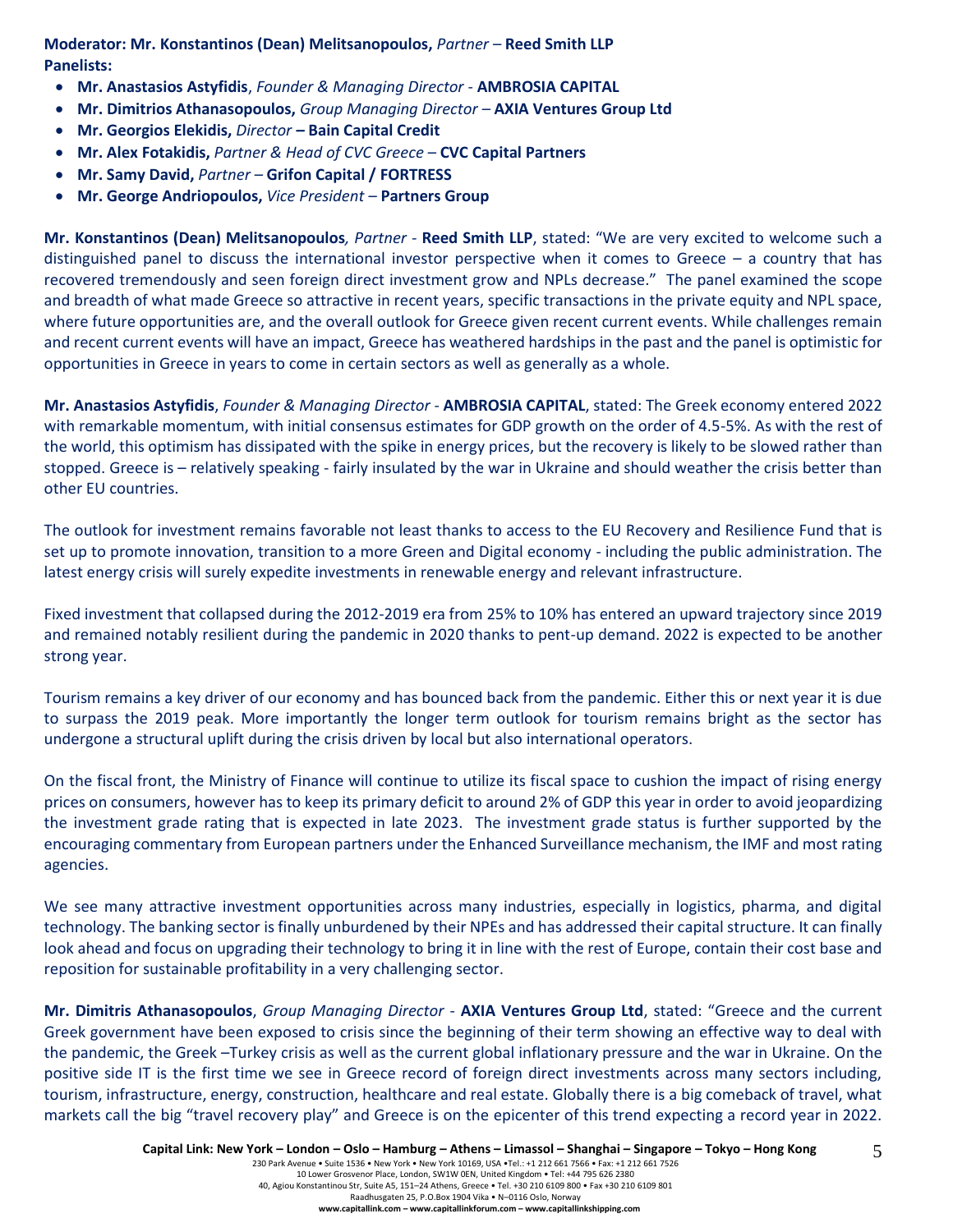**Moderator: Mr. Konstantinos (Dean) Melitsanopoulos,** *Partner –* **Reed Smith LLP Panelists:**

- **Mr. Anastasios Astyfidis**, *Founder & Managing Director* **AMBROSIA CAPITAL**
- **Mr. Dimitrios Athanasopoulos,** *Group Managing Director –* **AXIA Ventures Group Ltd**
- **Mr. Georgios Elekidis,** *Director –* **Bain Capital Credit**
- **Mr. Alex Fotakidis,** *Partner & Head of CVC Greece –* **CVC Capital Partners**
- **Mr. Samy David,** *Partner –* **Grifon Capital / FORTRESS**
- **Mr. George Andriopoulos,** *Vice President –* **Partners Group**

**Mr. Konstantinos (Dean) Melitsanopoulos***, Partner -* **Reed Smith LLP**, stated: "We are very excited to welcome such a distinguished panel to discuss the international investor perspective when it comes to Greece – a country that has recovered tremendously and seen foreign direct investment grow and NPLs decrease." The panel examined the scope and breadth of what made Greece so attractive in recent years, specific transactions in the private equity and NPL space, where future opportunities are, and the overall outlook for Greece given recent current events. While challenges remain and recent current events will have an impact, Greece has weathered hardships in the past and the panel is optimistic for opportunities in Greece in years to come in certain sectors as well as generally as a whole.

**Mr. Anastasios Astyfidis**, *Founder & Managing Director* - **AMBROSIA CAPITAL**, stated: The Greek economy entered 2022 with remarkable momentum, with initial consensus estimates for GDP growth on the order of 4.5-5%. As with the rest of the world, this optimism has dissipated with the spike in energy prices, but the recovery is likely to be slowed rather than stopped. Greece is – relatively speaking - fairly insulated by the war in Ukraine and should weather the crisis better than other EU countries.

The outlook for investment remains favorable not least thanks to access to the EU Recovery and Resilience Fund that is set up to promote innovation, transition to a more Green and Digital economy - including the public administration. The latest energy crisis will surely expedite investments in renewable energy and relevant infrastructure.

Fixed investment that collapsed during the 2012-2019 era from 25% to 10% has entered an upward trajectory since 2019 and remained notably resilient during the pandemic in 2020 thanks to pent-up demand. 2022 is expected to be another strong year.

Tourism remains a key driver of our economy and has bounced back from the pandemic. Either this or next year it is due to surpass the 2019 peak. More importantly the longer term outlook for tourism remains bright as the sector has undergone a structural uplift during the crisis driven by local but also international operators.

On the fiscal front, the Ministry of Finance will continue to utilize its fiscal space to cushion the impact of rising energy prices on consumers, however has to keep its primary deficit to around 2% of GDP this year in order to avoid jeopardizing the investment grade rating that is expected in late 2023. The investment grade status is further supported by the encouraging commentary from European partners under the Enhanced Surveillance mechanism, the IMF and most rating agencies.

We see many attractive investment opportunities across many industries, especially in logistics, pharma, and digital technology. The banking sector is finally unburdened by their NPEs and has addressed their capital structure. It can finally look ahead and focus on upgrading their technology to bring it in line with the rest of Europe, contain their cost base and reposition for sustainable profitability in a very challenging sector.

**Mr. Dimitris Athanasopoulos**, *Group Managing Director* - **AXIA Ventures Group Ltd**, stated: "Greece and the current Greek government have been exposed to crisis since the beginning of their term showing an effective way to deal with the pandemic, the Greek –Turkey crisis as well as the current global inflationary pressure and the war in Ukraine. On the positive side IT is the first time we see in Greece record of foreign direct investments across many sectors including, tourism, infrastructure, energy, construction, healthcare and real estate. Globally there is a big comeback of travel, what markets call the big "travel recovery play" and Greece is on the epicenter of this trend expecting a record year in 2022.

5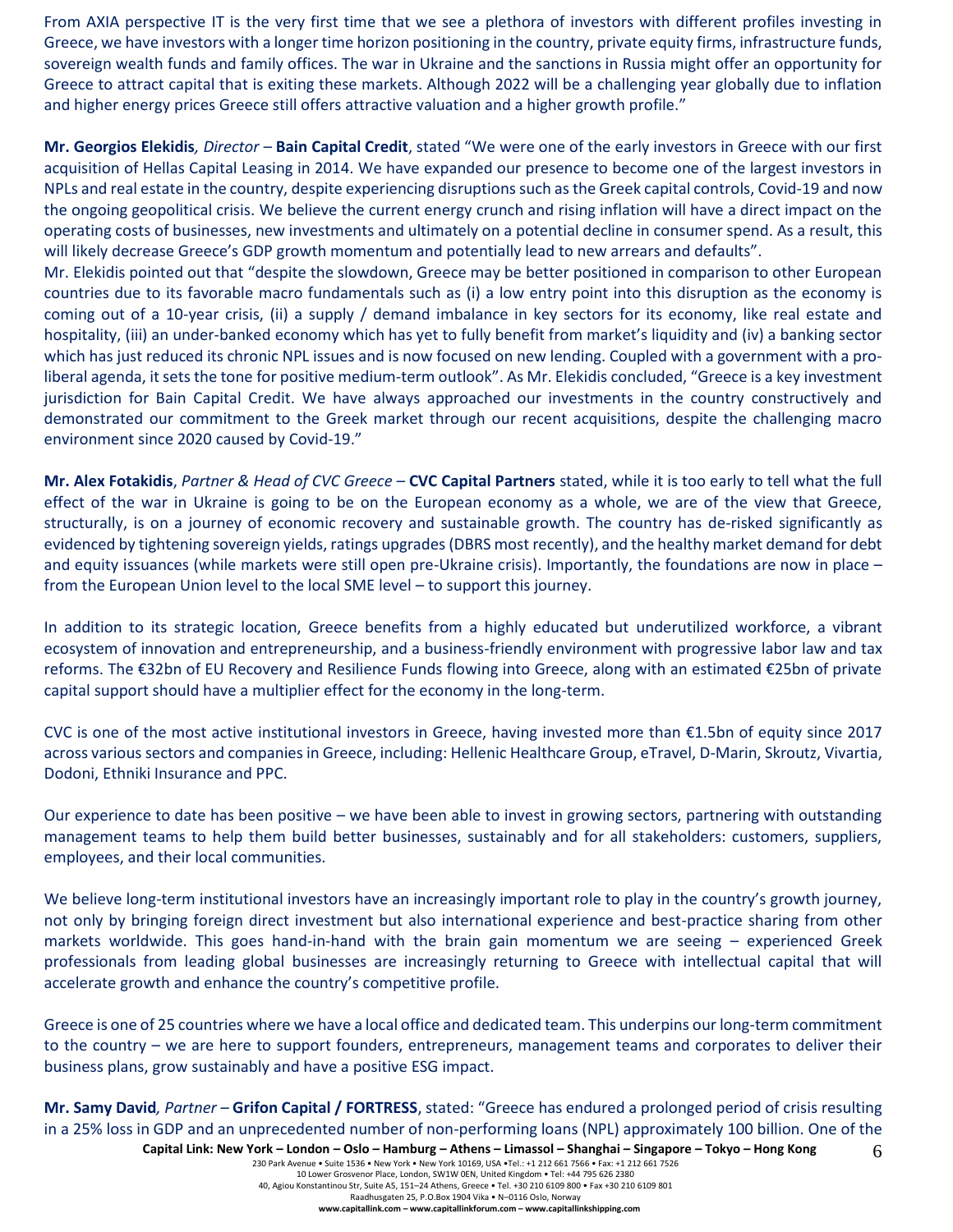From AXIA perspective IT is the very first time that we see a plethora of investors with different profiles investing in Greece, we have investors with a longer time horizon positioning in the country, private equity firms, infrastructure funds, sovereign wealth funds and family offices. The war in Ukraine and the sanctions in Russia might offer an opportunity for Greece to attract capital that is exiting these markets. Although 2022 will be a challenging year globally due to inflation and higher energy prices Greece still offers attractive valuation and a higher growth profile."

**Mr. Georgios Elekidis***, Director –* **Bain Capital Credit**, stated "We were one of the early investors in Greece with our first acquisition of Hellas Capital Leasing in 2014. We have expanded our presence to become one of the largest investors in NPLs and real estate in the country, despite experiencing disruptions such as the Greek capital controls, Covid-19 and now the ongoing geopolitical crisis. We believe the current energy crunch and rising inflation will have a direct impact on the operating costs of businesses, new investments and ultimately on a potential decline in consumer spend. As a result, this will likely decrease Greece's GDP growth momentum and potentially lead to new arrears and defaults".

Mr. Elekidis pointed out that "despite the slowdown, Greece may be better positioned in comparison to other European countries due to its favorable macro fundamentals such as (i) a low entry point into this disruption as the economy is coming out of a 10-year crisis, (ii) a supply / demand imbalance in key sectors for its economy, like real estate and hospitality, (iii) an under-banked economy which has yet to fully benefit from market's liquidity and (iv) a banking sector which has just reduced its chronic NPL issues and is now focused on new lending. Coupled with a government with a proliberal agenda, it sets the tone for positive medium-term outlook". As Mr. Elekidis concluded, "Greece is a key investment jurisdiction for Bain Capital Credit. We have always approached our investments in the country constructively and demonstrated our commitment to the Greek market through our recent acquisitions, despite the challenging macro environment since 2020 caused by Covid-19."

**Mr. Alex Fotakidis**, *Partner & Head of CVC Greece –* **CVC Capital Partners** stated, while it is too early to tell what the full effect of the war in Ukraine is going to be on the European economy as a whole, we are of the view that Greece, structurally, is on a journey of economic recovery and sustainable growth. The country has de-risked significantly as evidenced by tightening sovereign yields, ratings upgrades (DBRS most recently), and the healthy market demand for debt and equity issuances (while markets were still open pre-Ukraine crisis). Importantly, the foundations are now in place – from the European Union level to the local SME level – to support this journey.

In addition to its strategic location, Greece benefits from a highly educated but underutilized workforce, a vibrant ecosystem of innovation and entrepreneurship, and a business-friendly environment with progressive labor law and tax reforms. The €32bn of EU Recovery and Resilience Funds flowing into Greece, along with an estimated €25bn of private capital support should have a multiplier effect for the economy in the long-term.

CVC is one of the most active institutional investors in Greece, having invested more than €1.5bn of equity since 2017 across various sectors and companies in Greece, including: Hellenic Healthcare Group, eTravel, D-Marin, Skroutz, Vivartia, Dodoni, Ethniki Insurance and PPC.

Our experience to date has been positive – we have been able to invest in growing sectors, partnering with outstanding management teams to help them build better businesses, sustainably and for all stakeholders: customers, suppliers, employees, and their local communities.

We believe long-term institutional investors have an increasingly important role to play in the country's growth journey, not only by bringing foreign direct investment but also international experience and best-practice sharing from other markets worldwide. This goes hand-in-hand with the brain gain momentum we are seeing – experienced Greek professionals from leading global businesses are increasingly returning to Greece with intellectual capital that will accelerate growth and enhance the country's competitive profile.

Greece is one of 25 countries where we have a local office and dedicated team. This underpins our long-term commitment to the country – we are here to support founders, entrepreneurs, management teams and corporates to deliver their business plans, grow sustainably and have a positive ESG impact.

**Mr. Samy David***, Partner –* **Grifon Capital / FORTRESS**, stated: "Greece has endured a prolonged period of crisis resulting in a 25% loss in GDP and an unprecedented number of non-performing loans (NPL) approximately 100 billion. One of the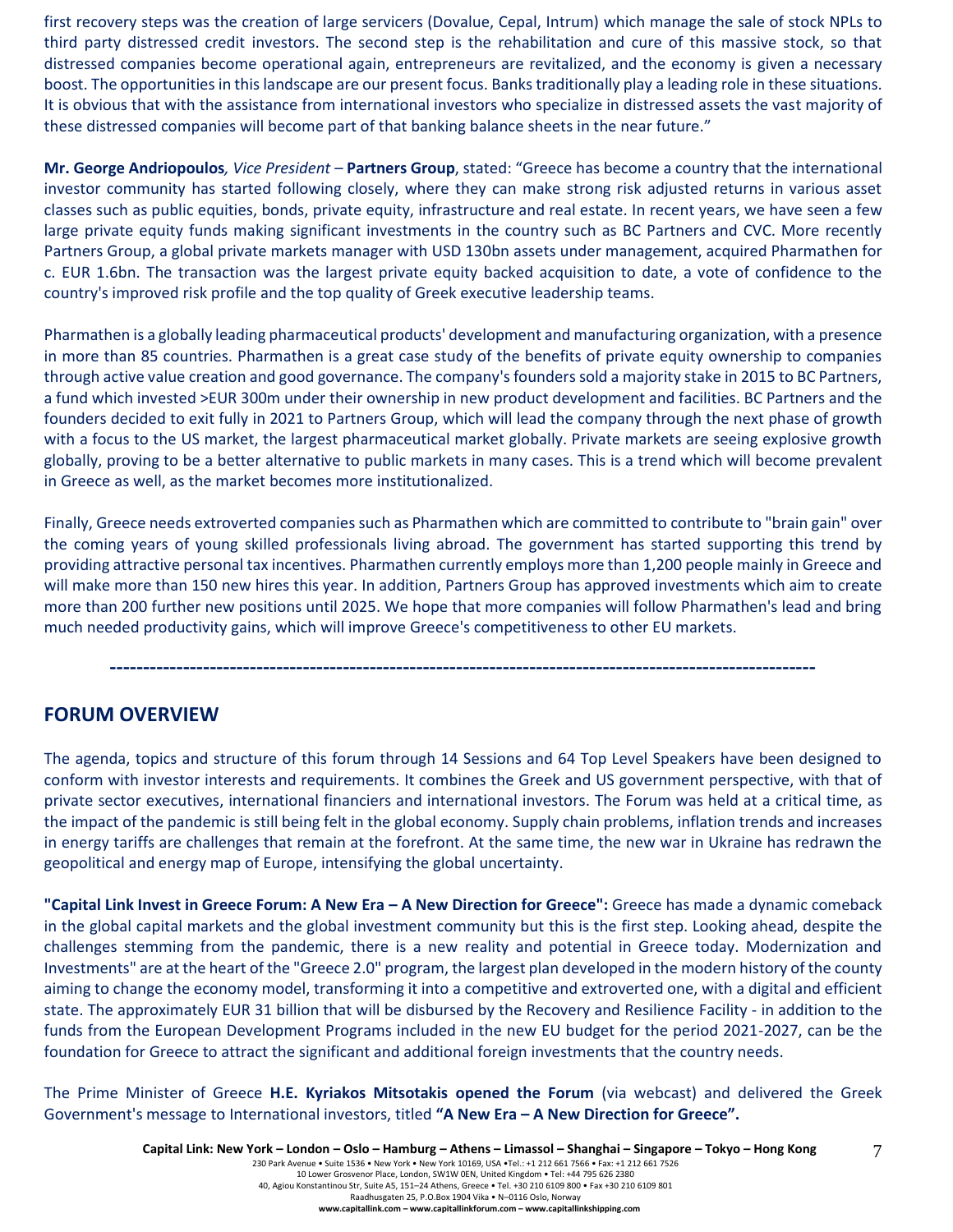first recovery steps was the creation of large servicers (Dovalue, Cepal, Intrum) which manage the sale of stock NPLs to third party distressed credit investors. The second step is the rehabilitation and cure of this massive stock, so that distressed companies become operational again, entrepreneurs are revitalized, and the economy is given a necessary boost. The opportunities in this landscape are our present focus. Banks traditionally play a leading role in these situations. It is obvious that with the assistance from international investors who specialize in distressed assets the vast majority of these distressed companies will become part of that banking balance sheets in the near future."

**Mr. George Andriopoulos***, Vice President –* **Partners Group**, stated: "Greece has become a country that the international investor community has started following closely, where they can make strong risk adjusted returns in various asset classes such as public equities, bonds, private equity, infrastructure and real estate. In recent years, we have seen a few large private equity funds making significant investments in the country such as BC Partners and CVC. More recently Partners Group, a global private markets manager with USD 130bn assets under management, acquired Pharmathen for c. EUR 1.6bn. The transaction was the largest private equity backed acquisition to date, a vote of confidence to the country's improved risk profile and the top quality of Greek executive leadership teams.

Pharmathen is a globally leading pharmaceutical products' development and manufacturing organization, with a presence in more than 85 countries. Pharmathen is a great case study of the benefits of private equity ownership to companies through active value creation and good governance. The company's founders sold a majority stake in 2015 to BC Partners, a fund which invested >EUR 300m under their ownership in new product development and facilities. BC Partners and the founders decided to exit fully in 2021 to Partners Group, which will lead the company through the next phase of growth with a focus to the US market, the largest pharmaceutical market globally. Private markets are seeing explosive growth globally, proving to be a better alternative to public markets in many cases. This is a trend which will become prevalent in Greece as well, as the market becomes more institutionalized.

Finally, Greece needs extroverted companies such as Pharmathen which are committed to contribute to "brain gain" over the coming years of young skilled professionals living abroad. The government has started supporting this trend by providing attractive personal tax incentives. Pharmathen currently employs more than 1,200 people mainly in Greece and will make more than 150 new hires this year. In addition, Partners Group has approved investments which aim to create more than 200 further new positions until 2025. We hope that more companies will follow Pharmathen's lead and bring much needed productivity gains, which will improve Greece's competitiveness to other EU markets.

# **----------------------------------------------------------------------------------------------------------**

# **FORUM OVERVIEW**

The agenda, topics and structure of this forum through 14 Sessions and 64 Top Level Speakers have been designed to conform with investor interests and requirements. It combines the Greek and US government perspective, with that of private sector executives, international financiers and international investors. The Forum was held at a critical time, as the impact of the pandemic is still being felt in the global economy. Supply chain problems, inflation trends and increases in energy tariffs are challenges that remain at the forefront. At the same time, the new war in Ukraine has redrawn the geopolitical and energy map of Europe, intensifying the global uncertainty.

**"Capital Link Invest in Greece Forum: A New Era – A New Direction for Greece":** Greece has made a dynamic comeback in the global capital markets and the global investment community but this is the first step. Looking ahead, despite the challenges stemming from the pandemic, there is a new reality and potential in Greece today. Modernization and Investments" are at the heart of the "Greece 2.0" program, the largest plan developed in the modern history of the county aiming to change the economy model, transforming it into a competitive and extroverted one, with a digital and efficient state. The approximately EUR 31 billion that will be disbursed by the Recovery and Resilience Facility - in addition to the funds from the European Development Programs included in the new EU budget for the period 2021-2027, can be the foundation for Greece to attract the significant and additional foreign investments that the country needs.

The Prime Minister of Greece **H.E. Kyriakos Mitsotakis opened the Forum** (via webcast) and delivered the Greek Government's message to International investors, titled **"A New Era – A New Direction for Greece".**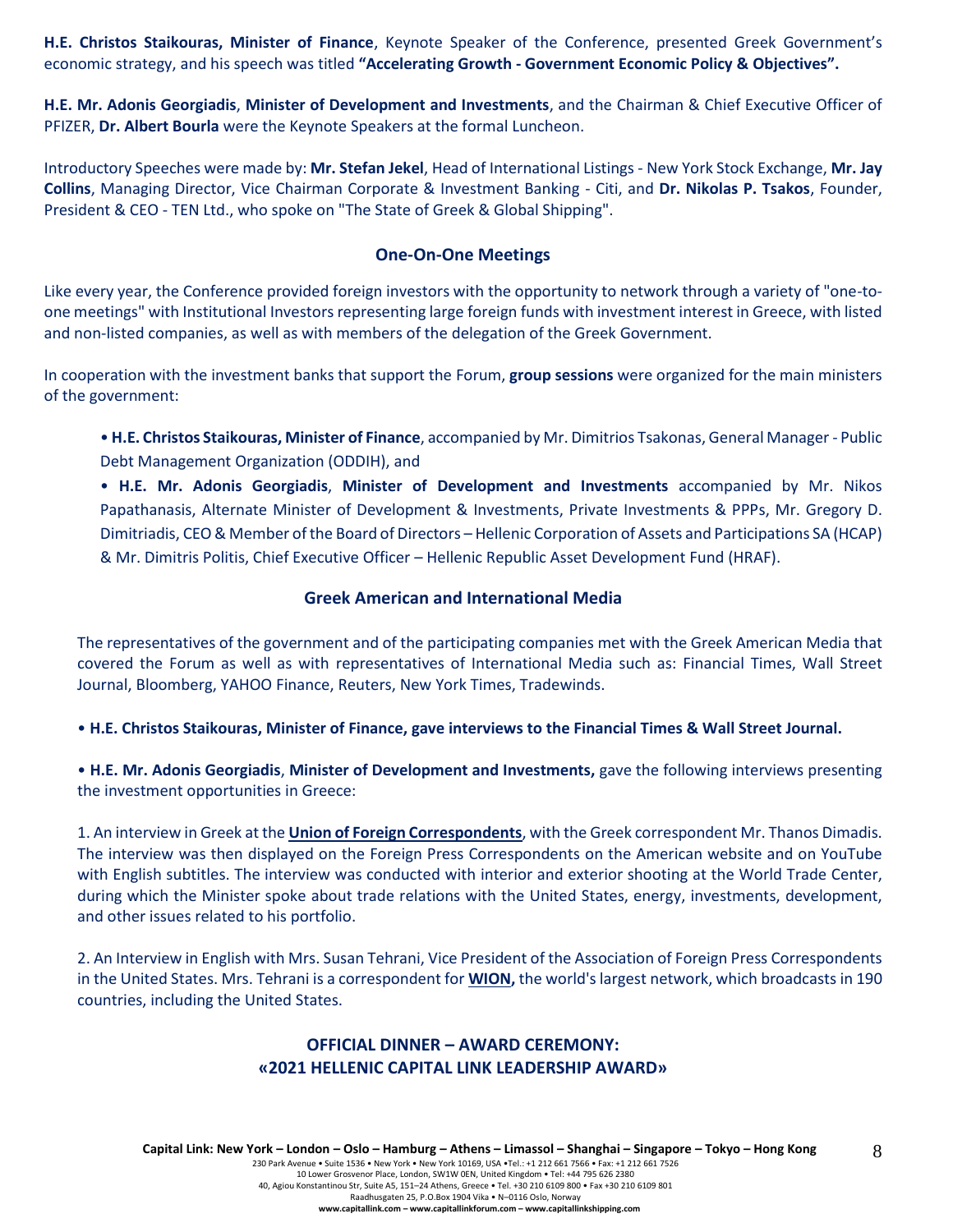**H.E. Christos Staikouras, Minister of Finance**, Keynote Speaker of the Conference, presented Greek Government's economic strategy, and his speech was titled **"Accelerating Growth - Government Economic Policy & Objectives".**

**H.E. Mr. Adonis Georgiadis**, **Minister of Development and Investments**, and the Chairman & Chief Executive Officer of PFIZER, **Dr. Albert Bourla** were the Keynote Speakers at the formal Luncheon.

Introductory Speeches were made by: **Mr. Stefan Jekel**, Head of International Listings - New York Stock Exchange, **Mr. Jay Collins**, Managing Director, Vice Chairman Corporate & Investment Banking - Citi, and **Dr. Nikolas P. Tsakos**, Founder, President & CEO - TEN Ltd., who spoke on "The State of Greek & Global Shipping".

#### **One-On-One Meetings**

Like every year, the Conference provided foreign investors with the opportunity to network through a variety of "one-toone meetings" with Institutional Investors representing large foreign funds with investment interest in Greece, with listed and non-listed companies, as well as with members of the delegation of the Greek Government.

In cooperation with the investment banks that support the Forum, **group sessions** were organized for the main ministers of the government:

• **H.E. Christos Staikouras, Minister of Finance**, accompanied by Mr. Dimitrios Tsakonas, General Manager - Public Debt Management Organization (ODDIH), and

• **H.E. Mr. Adonis Georgiadis**, **Minister of Development and Investments** accompanied by Mr. Nikos Papathanasis, Alternate Minister of Development & Investments, Private Investments & PPPs, Mr. Gregory D. Dimitriadis, CEO & Member of the Board of Directors – Hellenic Corporation of Assets and Participations SA (HCAP) & Mr. Dimitris Politis, Chief Executive Officer – Hellenic Republic Asset Development Fund (HRAF).

## **Greek American and International Media**

The representatives of the government and of the participating companies met with the Greek American Media that covered the Forum as well as with representatives of International Media such as: Financial Times, Wall Street Journal, Bloomberg, YAHOO Finance, Reuters, New York Times, Tradewinds.

• **H.E. Christos Staikouras, Minister of Finance, gave interviews to the Financial Times & Wall Street Journal.**

• **H.E. Mr. Adonis Georgiadis**, **Minister of Development and Investments,** gave the following interviews presenting the investment opportunities in Greece:

1. An interview in Greek at the **Union of Foreign Correspondents**, with the Greek correspondent Mr. Thanos Dimadis. The interview was then displayed on the Foreign Press Correspondents on the American website and on YouTube with English subtitles. The interview was conducted with interior and exterior shooting at the World Trade Center, during which the Minister spoke about trade relations with the United States, energy, investments, development, and other issues related to his portfolio.

2. An Interview in English with Mrs. Susan Tehrani, Vice President of the Association of Foreign Press Correspondents in the United States. Mrs. Tehrani is a correspondent for **WION,** the world's largest network, which broadcasts in 190 countries, including the United States.

# **OFFICIAL DINNER – AWARD CEREMONY: «2021 HELLENIC CAPITAL LINK LEADERSHIP AWARD»**

8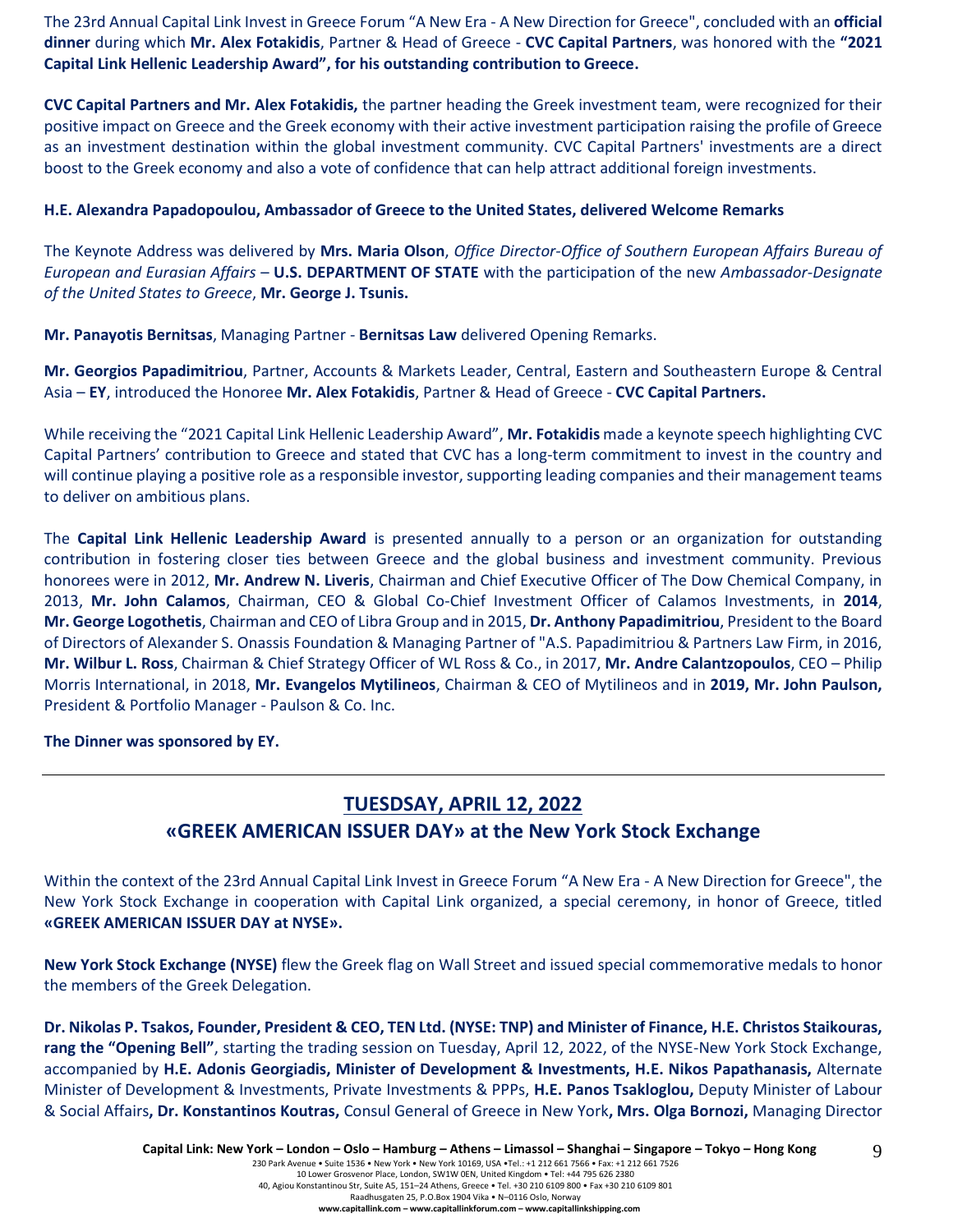The 23rd Annual Capital Link Invest in Greece Forum "A New Era - A New Direction for Greece", concluded with an **official dinner** during which **Mr. Alex Fotakidis**, Partner & Head of Greece - **CVC Capital Partners**, was honored with the **"2021 Capital Link Hellenic Leadership Award", for his outstanding contribution to Greece.**

**CVC Capital Partners and Mr. Alex Fotakidis,** the partner heading the Greek investment team, were recognized for their positive impact on Greece and the Greek economy with their active investment participation raising the profile of Greece as an investment destination within the global investment community. CVC Capital Partners' investments are a direct boost to the Greek economy and also a vote of confidence that can help attract additional foreign investments.

#### **H.E. Alexandra Papadopoulou, Ambassador of Greece to the United States, delivered Welcome Remarks**

The Keynote Address was delivered by **Mrs. Maria Olson**, *Office Director-Office of Southern European Affairs Bureau of European and Eurasian Affairs* – **U.S. DEPARTMENT OF STATE** with the participation of the new *Ambassador-Designate of the United States to Greece*, **Mr. George J. Tsunis.**

**Mr. Panayotis Bernitsas**, Managing Partner - **Bernitsas Law** delivered Opening Remarks.

**Mr. Georgios Papadimitriou**, Partner, Accounts & Markets Leader, Central, Eastern and Southeastern Europe & Central Asia – **EY**, introduced the Honoree **Mr. Alex Fotakidis**, Partner & Head of Greece - **CVC Capital Partners.** 

While receiving the "2021 Capital Link Hellenic Leadership Award", **Mr. Fotakidis** made a keynote speech highlighting CVC Capital Partners' contribution to Greece and stated that CVC has a long-term commitment to invest in the country and will continue playing a positive role as a responsible investor, supporting leading companies and their management teams to deliver on ambitious plans.

The **Capital Link Hellenic Leadership Award** is presented annually to a person or an organization for outstanding contribution in fostering closer ties between Greece and the global business and investment community. Previous honorees were in 2012, **Mr. Andrew N. Liveris**, Chairman and Chief Executive Officer of The Dow Chemical Company, in 2013, **Mr. John Calamos**, Chairman, CEO & Global Co-Chief Investment Officer of Calamos Investments, in **2014**, **Mr. George Logothetis**, Chairman and CEO of Libra Group and in 2015, **Dr. Anthony Papadimitriou**, President to the Board of Directors of Alexander S. Onassis Foundation & Managing Partner of "A.S. Papadimitriou & Partners Law Firm, in 2016, **Mr. Wilbur L. Ross**, Chairman & Chief Strategy Officer of WL Ross & Co., in 2017, **Mr. Andre Calantzopoulos**, CEO – Philip Morris International, in 2018, **Mr. Evangelos Mytilineos**, Chairman & CEO of Mytilineos and in **2019, Mr. John Paulson,** President & Portfolio Manager - Paulson & Co. Inc.

#### **The Dinner was sponsored by ΕΥ.**

# **TUESDSAY, APRIL 12, 2022 «GREEK AMERICAN ISSUER DAY» at the New York Stock Exchange**

Within the context of the 23rd Annual Capital Link Invest in Greece Forum "A New Era - A New Direction for Greece", the New York Stock Exchange in cooperation with Capital Link organized, a special ceremony, in honor of Greece, titled **«GREEK AMERICAN ISSUER DAY at NYSE».**

**New York Stock Exchange (NYSE)** flew the Greek flag on Wall Street and issued special commemorative medals to honor the members of the Greek Delegation.

**Dr. Nikolas P. Tsakos, Founder, President & CEO, TEN Ltd. (NYSE: TNP) and Minister of Finance, H.E. Christos Staikouras, rang the "Opening Bell"**, starting the trading session on Tuesday, April 12, 2022, of the NYSE-New York Stock Exchange, accompanied by **H.E. Adonis Georgiadis, Minister of Development & Investments, H.E. Nikos Papathanasis,** Alternate Minister of Development & Investments, Private Investments & PPPs, **H.E. Panos Tsakloglou,** Deputy Minister of Labour & Social Affairs**, Dr. Konstantinos Koutras,** Consul General of Greece in New York**, Mrs. Olga Bornozi,** Managing Director

9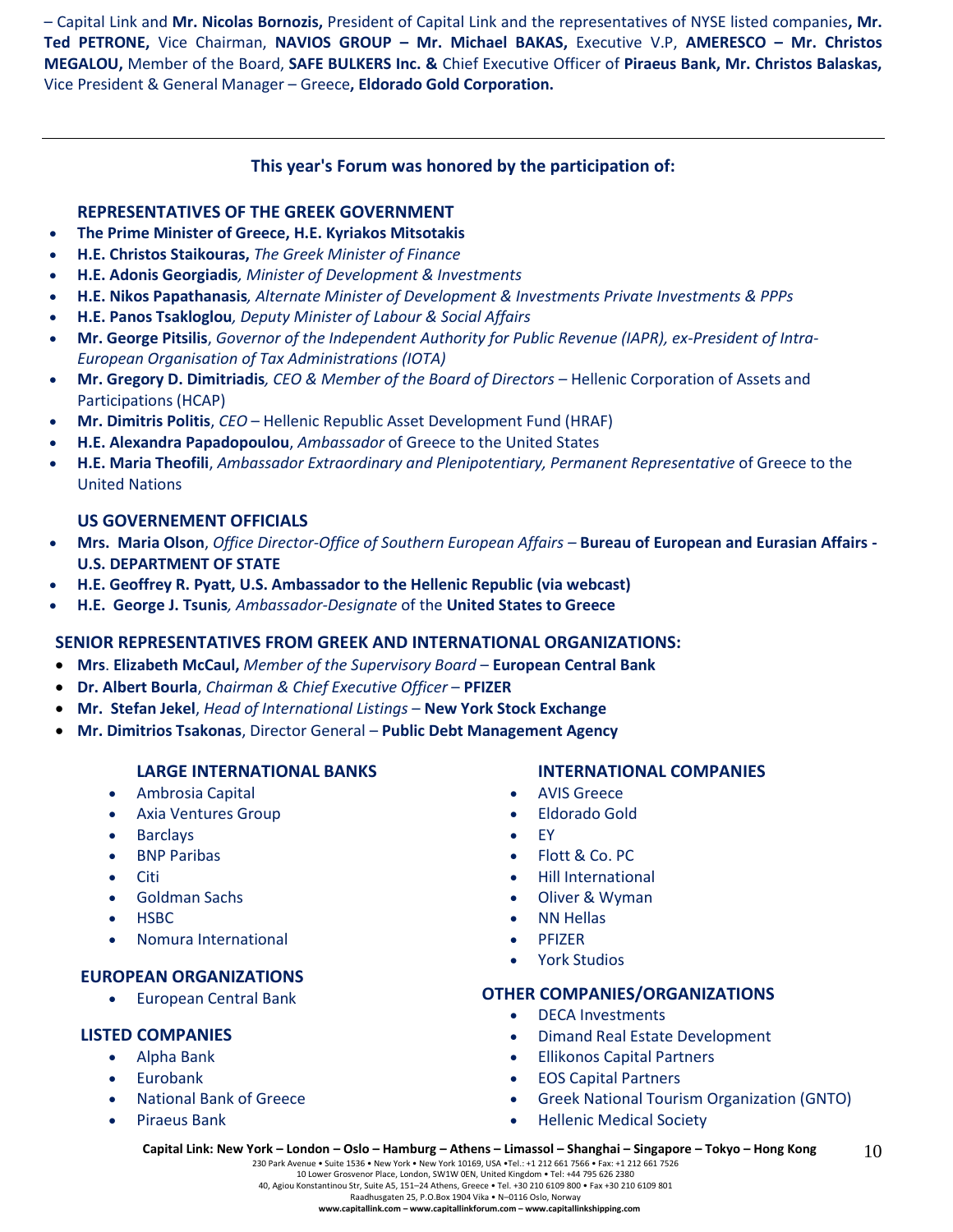– Capital Link and **Mr. Nicolas Bornozis,** President of Capital Link and the representatives of NYSE listed companies**, Mr. Τed PETRONE,** Vice Chairman, **NAVIOS GROUP – Mr. Michael BAKAS,** Executive V.P, **AMERESCO – Mr. Christos MEGALOU,** Member of the Board, **SAFE BULKERS Inc. &** Chief Executive Officer of **Piraeus Bank, Mr. Christos Balaskas,**  Vice President & General Manager – Greece**, Eldorado Gold Corporation.**

# **This year's Forum was honored by the participation of:**

## **REPRESENTATIVES OF THE GREEK GOVERNMENT**

- **The Prime Minister of Greece, H.E. Kyriakos Mitsotakis**
- **H.E. Christos Staikouras,** *The Greek Minister of Finance*
- **H.E. Adonis Georgiadis***, Minister of Development & Investments*
- **Η.Ε. Nikos Papathanasis***, Alternate Minister of Development & Investments Private Investments & PPPs*
- **H.E. Panos Tsakloglou***, Deputy Minister of Labour & Social Affairs*
- **Mr. George Pitsilis**, *Governor of the Independent Authority for Public Revenue (IAPR), ex-President of Intra-European Organisation of Tax Administrations (IOTA)*
- **Mr. Gregory D. Dimitriadis***, CEO & Member of the Board of Directors –* Hellenic Corporation of Assets and Participations (HCAP)
- **Mr. Dimitris Politis**, *CEO* Hellenic Republic Asset Development Fund (HRAF)
- **H.E. Alexandra Papadopoulou**, *Ambassador* of Greece to the United States
- **H.E. Maria Theofili**, *Ambassador Extraordinary and Plenipotentiary, Permanent Representative* of Greece to the United Nations

## **US GOVERNEMENT OFFICIALS**

- **Mrs. Maria Olson**, *Office Director-Office of Southern European Affairs –* **Bureau of European and Eurasian Affairs - U.S. DEPARTMENT OF STATE**
- **H.E. Geoffrey R. Pyatt, U.S. Ambassador to the Hellenic Republic (via webcast)**
- **H.E. George J. Tsunis***, Ambassador-Designate* of the **United States to Greece**

#### **SENIOR REPRESENTATIVES FROM GREEK AND INTERNATIONAL ORGANIZATIONS:**

- **Mrs**. **Elizabeth McCaul,** *Member of the Supervisory Board* **European Central Bank**
- **Dr. Albert Bourla**, *Chairman & Chief Executive Officer* **PFIZER**
- **Mr. Stefan Jekel**, *Head of International Listings* **New York Stock Exchange**
- **Mr. Dimitrios Tsakonas**, Director General **Public Debt Management Agency**

# **LARGE INTERNATIONAL BANKS**

- Ambrosia Capital
- Axia Ventures Group
- **Barclays**
- **BNP Paribas**
- Citi
- Goldman Sachs
- HSBC
- Nomura International

# **EUROPEAN ORGANIZATIONS**

• European Central Bank

# **LISTED COMPANIES**

- Alpha Bank
- **Eurobank**
- National Bank of Greece
- Piraeus Bank

# **INTERNATIONAL COMPANIES**

- AVIS Greece
- Eldorado Gold
- EY
- Flott & Co. PC
- Hill International
- Oliver & Wyman
- NN Hellas
- **PFIZER**
- York Studios

# **OTHER COMPANIES/ORGANIZATIONS**

- DECA Investments
- Dimand Real Estate Development
- Ellikonos Capital Partners
- EOS Capital Partners
- Greek National Tourism Organization (GNTO)
- Hellenic Medical Society

230 Park Avenue • Suite 1536 • New York • New York 10169, USA •Tel.: +1 212 661 7566 • Fax: +1 212 661 7526 10 Lower Grosvenor Place, London, SW1W 0EN, United Kingdom • Tel: +44 795 626 2380 40, Agiou Konstantinou Str, Suite A5, 151–24 Athens, Greece • Tel. +30 210 6109 800 • Fax +30 210 6109 801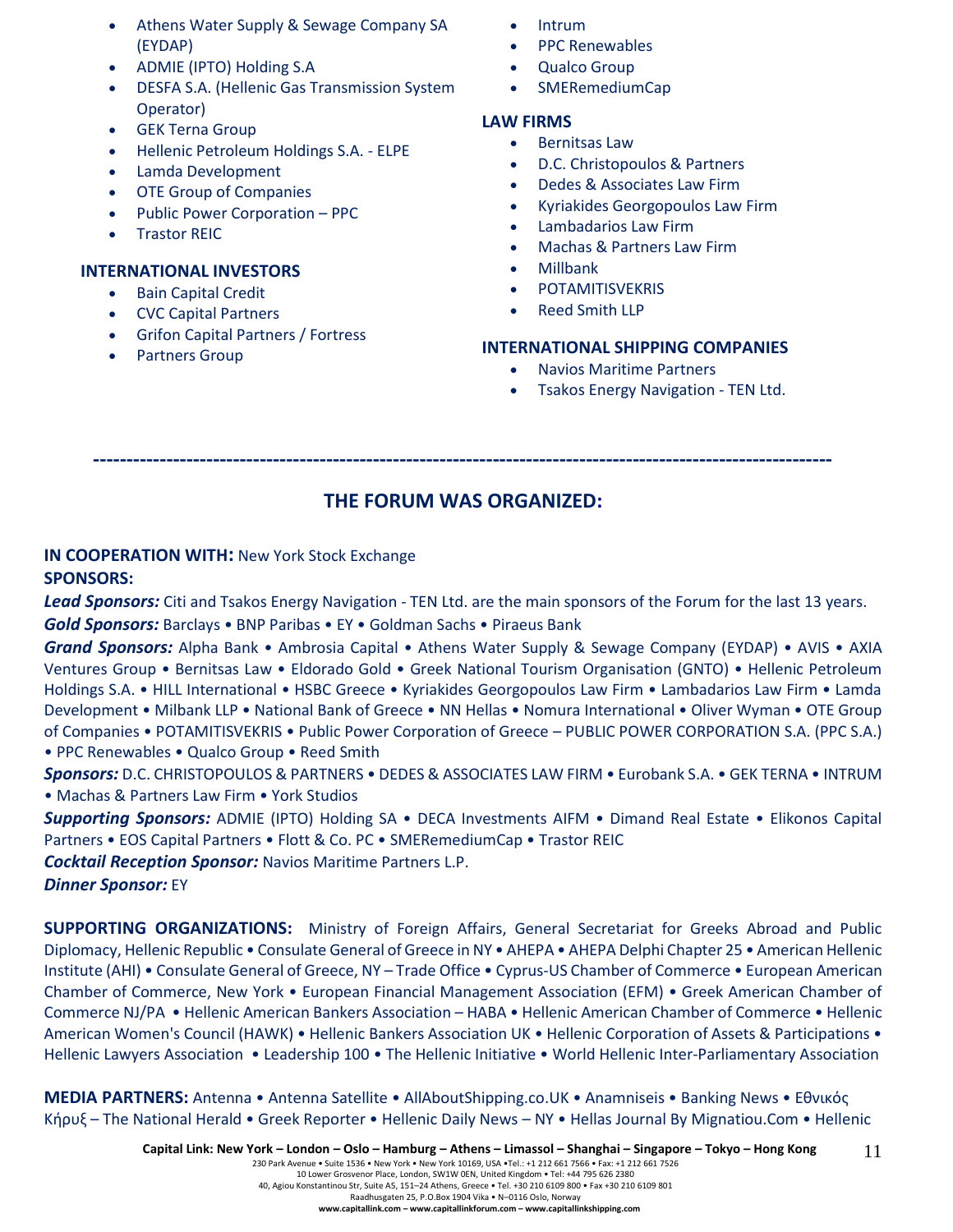- Athens Water Supply & Sewage Company SA (EYDAP)
- ADMIE (IPTO) Holding S.A
- DESFA S.A. (Hellenic Gas Transmission System Operator)
- **GEK Terna Group**
- Hellenic Petroleum Holdings S.A. ELPE
- Lamda Development
- **OTE Group of Companies**
- Public Power Corporation PPC
- **Trastor REIC**

#### **INTERNATIONAL INVESTORS**

- Bain Capital Credit
- CVC Capital Partners
- Grifon Capital Partners / Fortress
- Partners Group
- Intrum
- PPC Renewables
- Qualco Group
- SMERemediumCap

#### **LAW FIRMS**

- Bernitsas Law
- D.C. Christopoulos & Partners
- Dedes & Associates Law Firm
- Kyriakides Georgopoulos Law Firm
- Lambadarios Law Firm
- Machas & Partners Law Firm
- Millbank
- **POTAMITISVEKRIS**
- Reed Smith LLP

## **INTERNATIONAL SHIPPING COMPANIES**

- Navios Maritime Partners
- Tsakos Energy Navigation TEN Ltd.

**---------------------------------------------------------------------------------------------------------------**

# **THE FORUM WAS ORGANIZED:**

# **IN COOPERATION WITH:** New York Stock Exchange **SPONSORS:**

*Lead Sponsors:* Citi and Tsakos Energy Navigation - TEN Ltd. are the main sponsors of the Forum for the last 13 years. *Gold Sponsors:* Barclays • BNP Paribas • EY • Goldman Sachs • Piraeus Bank

*Grand Sponsors:* Alpha Bank • Ambrosia Capital • Athens Water Supply & Sewage Company (EYDAP) • AVIS • AXIA Ventures Group • Bernitsas Law • Eldorado Gold • Greek National Tourism Organisation (GNTO) • Hellenic Petroleum Holdings S.A. • HILL International • HSBC Greece • Kyriakides Georgopoulos Law Firm • Lambadarios Law Firm • Lamda Development • Milbank LLP • National Bank of Greece • NN Hellas • Nomura International • Oliver Wyman • OTE Group of Companies • POTAMITISVEKRIS • Public Power Corporation of Greece – PUBLIC POWER CORPORATION S.A. (PPC S.A.) • PPC Renewables • Qualco Group • Reed Smith

*Sponsors:* D.C. CHRISTOPOULOS & PARTNERS • DEDES & ASSOCIATES LAW FIRM • Eurobank S.A. • GEK TERNA • INTRUM • Machas & Partners Law Firm • York Studios

*Supporting Sponsors:* ADMIE (IPTO) Holding SA • DECA Investments AIFM • Dimand Real Estate • Elikonos Capital Partners • EOS Capital Partners • Flott & Co. PC • SMERemediumCap • Trastor REIC

*Cocktail Reception Sponsor:* Navios Maritime Partners L.P.

*Dinner Sponsor:* EY

**SUPPORTING ORGANIZATIONS:** Ministry of Foreign Affairs, General Secretariat for Greeks Abroad and Public Diplomacy, Hellenic Republic • Consulate General of Greece in NY • AHEPA • AHEPA Delphi Chapter 25 • American Hellenic Institute (AHI) • Consulate General of Greece, NY – Trade Office • Cyprus-US Chamber of Commerce • European American Chamber of Commerce, New York • European Financial Management Association (EFM) • Greek American Chamber of Commerce NJ/PA • Hellenic American Bankers Association – HABA • Hellenic American Chamber of Commerce • Hellenic American Women's Council (HAWK) • Hellenic Bankers Association UK • Hellenic Corporation of Assets & Participations • Hellenic Lawyers Association • Leadership 100 • The Hellenic Initiative • World Hellenic Inter-Parliamentary Association

**MEDIA PARTNERS:** Antenna • Antenna Satellite • AllAboutShipping.co.UK • Anamniseis • Banking News • Εθνικός Κήρυξ – The National Herald • Greek Reporter • Hellenic Daily News – NY • Hellas Journal By Mignatiou.Com • Hellenic